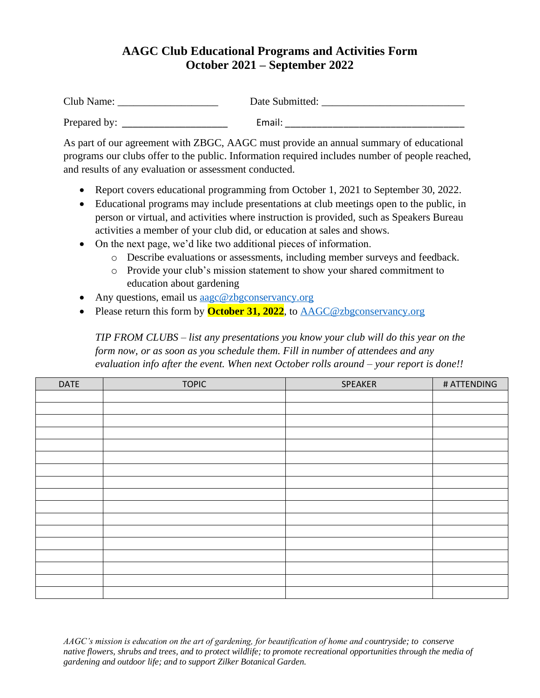## **AAGC Club Educational Programs and Activities Form October 2021 – September 2022**

| Club Name:   | Date Submitted: |
|--------------|-----------------|
| Prepared by: | Email:          |

As part of our agreement with ZBGC, AAGC must provide an annual summary of educational programs our clubs offer to the public. Information required includes number of people reached, and results of any evaluation or assessment conducted.

- Report covers educational programming from October 1, 2021 to September 30, 2022.
- Educational programs may include presentations at club meetings open to the public, in person or virtual, and activities where instruction is provided, such as Speakers Bureau activities a member of your club did, or education at sales and shows.
- On the next page, we'd like two additional pieces of information.
	- o Describe evaluations or assessments, including member surveys and feedback.
	- o Provide your club's mission statement to show your shared commitment to education about gardening
- Any questions, email us [aagc@zbgconservancy.org](mailto:aagc@zbgconservancy.org)
- Please return this form by **October 31, 2022**, to [AAGC@zbgconservancy.org](mailto:AAGC@zbgconservancy.org)

*TIP FROM CLUBS – list any presentations you know your club will do this year on the form now, or as soon as you schedule them. Fill in number of attendees and any evaluation info after the event. When next October rolls around – your report is done!!*

| DATE | <b>TOPIC</b> | SPEAKER | # ATTENDING |
|------|--------------|---------|-------------|
|      |              |         |             |
|      |              |         |             |
|      |              |         |             |
|      |              |         |             |
|      |              |         |             |
|      |              |         |             |
|      |              |         |             |
|      |              |         |             |
|      |              |         |             |
|      |              |         |             |
|      |              |         |             |
|      |              |         |             |
|      |              |         |             |
|      |              |         |             |
|      |              |         |             |
|      |              |         |             |
|      |              |         |             |

*AAGC's mission is education on the art of gardening, for beautification of home and countryside; to conserve native flowers, shrubs and trees, and to protect wildlife; to promote recreational opportunities through the media of gardening and outdoor life; and to support Zilker Botanical Garden.*